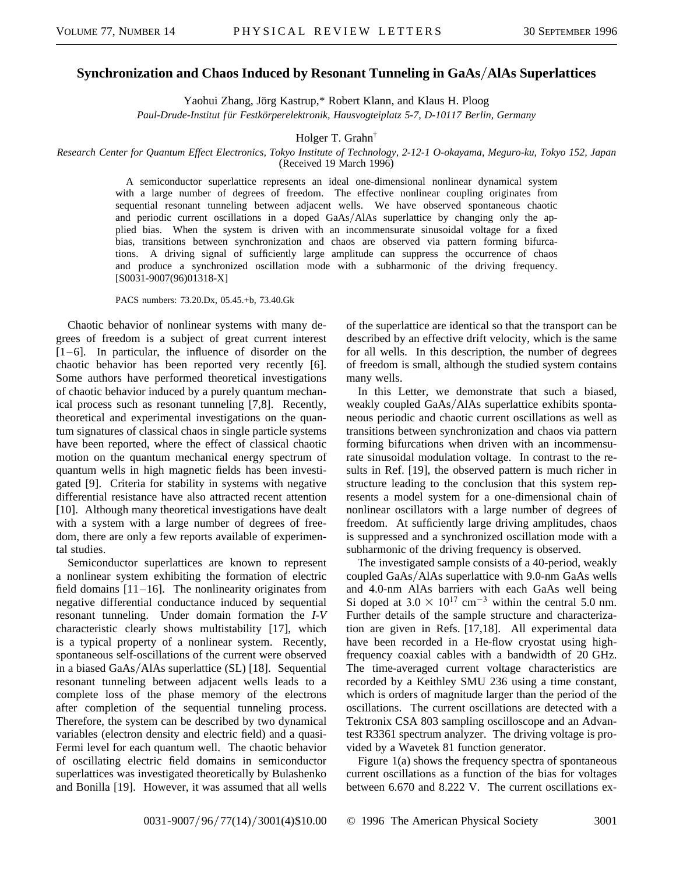## **Synchronization and Chaos Induced by Resonant Tunneling in GaAs/AlAs Superlattices**

Yaohui Zhang, Jörg Kastrup,\* Robert Klann, and Klaus H. Ploog

*Paul-Drude-Institut für Festkörperelektronik, Hausvogteiplatz 5-7, D-10117 Berlin, Germany*

Holger T. Grahn†

*Research Center for Quantum Effect Electronics, Tokyo Institute of Technology, 2-12-1 O-okayama, Meguro-ku, Tokyo 152, Japan* (Received 19 March 1996)

> A semiconductor superlattice represents an ideal one-dimensional nonlinear dynamical system with a large number of degrees of freedom. The effective nonlinear coupling originates from sequential resonant tunneling between adjacent wells. We have observed spontaneous chaotic and periodic current oscillations in a doped GaAs/AlAs superlattice by changing only the applied bias. When the system is driven with an incommensurate sinusoidal voltage for a fixed bias, transitions between synchronization and chaos are observed via pattern forming bifurcations. A driving signal of sufficiently large amplitude can suppress the occurrence of chaos and produce a synchronized oscillation mode with a subharmonic of the driving frequency. [S0031-9007(96)01318-X]

PACS numbers: 73.20.Dx, 05.45.+b, 73.40.Gk

Chaotic behavior of nonlinear systems with many degrees of freedom is a subject of great current interest  $[1-6]$ . In particular, the influence of disorder on the chaotic behavior has been reported very recently [6]. Some authors have performed theoretical investigations of chaotic behavior induced by a purely quantum mechanical process such as resonant tunneling [7,8]. Recently, theoretical and experimental investigations on the quantum signatures of classical chaos in single particle systems have been reported, where the effect of classical chaotic motion on the quantum mechanical energy spectrum of quantum wells in high magnetic fields has been investigated [9]. Criteria for stability in systems with negative differential resistance have also attracted recent attention [10]. Although many theoretical investigations have dealt with a system with a large number of degrees of freedom, there are only a few reports available of experimental studies.

Semiconductor superlattices are known to represent a nonlinear system exhibiting the formation of electric field domains  $[11–16]$ . The nonlinearity originates from negative differential conductance induced by sequential resonant tunneling. Under domain formation the *I*-*V* characteristic clearly shows multistability [17], which is a typical property of a nonlinear system. Recently, spontaneous self-oscillations of the current were observed in a biased GaAs/AlAs superlattice (SL) [18]. Sequential resonant tunneling between adjacent wells leads to a complete loss of the phase memory of the electrons after completion of the sequential tunneling process. Therefore, the system can be described by two dynamical variables (electron density and electric field) and a quasi-Fermi level for each quantum well. The chaotic behavior of oscillating electric field domains in semiconductor superlattices was investigated theoretically by Bulashenko and Bonilla [19]. However, it was assumed that all wells of the superlattice are identical so that the transport can be described by an effective drift velocity, which is the same for all wells. In this description, the number of degrees of freedom is small, although the studied system contains many wells.

In this Letter, we demonstrate that such a biased, weakly coupled GaAs/AlAs superlattice exhibits spontaneous periodic and chaotic current oscillations as well as transitions between synchronization and chaos via pattern forming bifurcations when driven with an incommensurate sinusoidal modulation voltage. In contrast to the results in Ref. [19], the observed pattern is much richer in structure leading to the conclusion that this system represents a model system for a one-dimensional chain of nonlinear oscillators with a large number of degrees of freedom. At sufficiently large driving amplitudes, chaos is suppressed and a synchronized oscillation mode with a subharmonic of the driving frequency is observed.

The investigated sample consists of a 40-period, weakly coupled GaAs/AlAs superlattice with 9.0-nm GaAs wells and 4.0-nm AlAs barriers with each GaAs well being Si doped at  $3.0 \times 10^{17}$  cm<sup>-3</sup> within the central 5.0 nm. Further details of the sample structure and characterization are given in Refs. [17,18]. All experimental data have been recorded in a He-flow cryostat using highfrequency coaxial cables with a bandwidth of 20 GHz. The time-averaged current voltage characteristics are recorded by a Keithley SMU 236 using a time constant, which is orders of magnitude larger than the period of the oscillations. The current oscillations are detected with a Tektronix CSA 803 sampling oscilloscope and an Advantest R3361 spectrum analyzer. The driving voltage is provided by a Wavetek 81 function generator.

Figure 1(a) shows the frequency spectra of spontaneous current oscillations as a function of the bias for voltages between 6.670 and 8.222 V. The current oscillations ex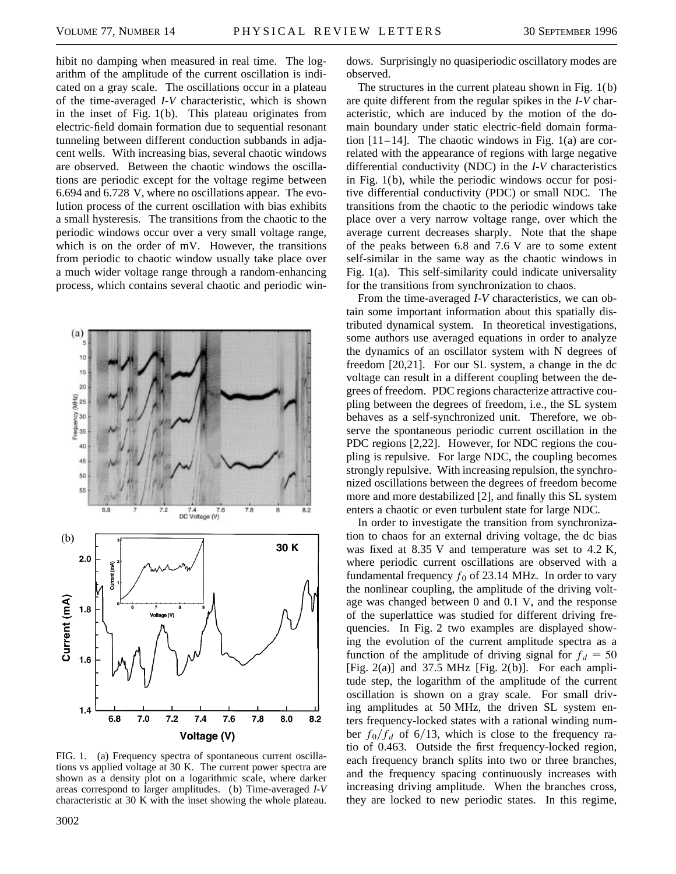hibit no damping when measured in real time. The logarithm of the amplitude of the current oscillation is indicated on a gray scale. The oscillations occur in a plateau of the time-averaged *I*-*V* characteristic, which is shown in the inset of Fig. 1(b). This plateau originates from electric-field domain formation due to sequential resonant tunneling between different conduction subbands in adjacent wells. With increasing bias, several chaotic windows are observed. Between the chaotic windows the oscillations are periodic except for the voltage regime between 6.694 and 6.728 V, where no oscillations appear. The evolution process of the current oscillation with bias exhibits a small hysteresis. The transitions from the chaotic to the periodic windows occur over a very small voltage range, which is on the order of mV. However, the transitions from periodic to chaotic window usually take place over a much wider voltage range through a random-enhancing process, which contains several chaotic and periodic win-



FIG. 1. (a) Frequency spectra of spontaneous current oscillations vs applied voltage at 30 K. The current power spectra are shown as a density plot on a logarithmic scale, where darker areas correspond to larger amplitudes. (b) Time-averaged *I*-*V* characteristic at 30 K with the inset showing the whole plateau.

dows. Surprisingly no quasiperiodic oscillatory modes are observed.

The structures in the current plateau shown in Fig. 1(b) are quite different from the regular spikes in the *I*-*V* characteristic, which are induced by the motion of the domain boundary under static electric-field domain formation [11–14]. The chaotic windows in Fig. 1(a) are correlated with the appearance of regions with large negative differential conductivity (NDC) in the *I*-*V* characteristics in Fig. 1(b), while the periodic windows occur for positive differential conductivity (PDC) or small NDC. The transitions from the chaotic to the periodic windows take place over a very narrow voltage range, over which the average current decreases sharply. Note that the shape of the peaks between 6.8 and 7.6 V are to some extent self-similar in the same way as the chaotic windows in Fig. 1(a). This self-similarity could indicate universality for the transitions from synchronization to chaos.

From the time-averaged *I*-*V* characteristics, we can obtain some important information about this spatially distributed dynamical system. In theoretical investigations, some authors use averaged equations in order to analyze the dynamics of an oscillator system with N degrees of freedom [20,21]. For our SL system, a change in the dc voltage can result in a different coupling between the degrees of freedom. PDC regions characterize attractive coupling between the degrees of freedom, i.e., the SL system behaves as a self-synchronized unit. Therefore, we observe the spontaneous periodic current oscillation in the PDC regions [2,22]. However, for NDC regions the coupling is repulsive. For large NDC, the coupling becomes strongly repulsive. With increasing repulsion, the synchronized oscillations between the degrees of freedom become more and more destabilized [2], and finally this SL system enters a chaotic or even turbulent state for large NDC.

In order to investigate the transition from synchronization to chaos for an external driving voltage, the dc bias was fixed at 8.35 V and temperature was set to 4.2 K, where periodic current oscillations are observed with a fundamental frequency  $f_0$  of 23.14 MHz. In order to vary the nonlinear coupling, the amplitude of the driving voltage was changed between 0 and 0.1 V, and the response of the superlattice was studied for different driving frequencies. In Fig. 2 two examples are displayed showing the evolution of the current amplitude spectra as a function of the amplitude of driving signal for  $f_d = 50$ [Fig.  $2(a)$ ] and  $37.5$  MHz [Fig.  $2(b)$ ]. For each amplitude step, the logarithm of the amplitude of the current oscillation is shown on a gray scale. For small driving amplitudes at 50 MHz, the driven SL system enters frequency-locked states with a rational winding number  $f_0/f_d$  of 6/13, which is close to the frequency ratio of 0.463. Outside the first frequency-locked region, each frequency branch splits into two or three branches, and the frequency spacing continuously increases with increasing driving amplitude. When the branches cross, they are locked to new periodic states. In this regime,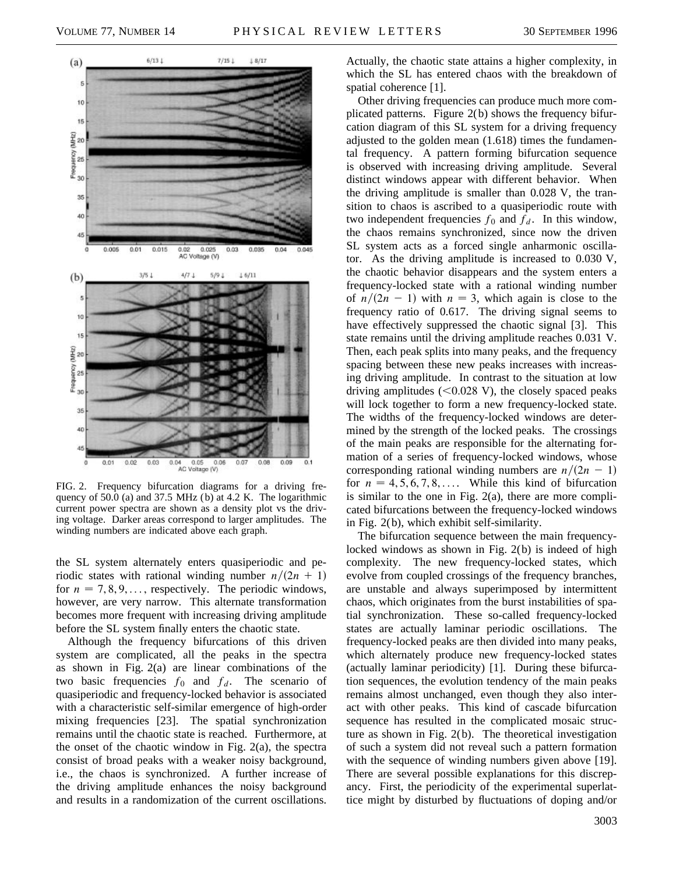

FIG. 2. Frequency bifurcation diagrams for a driving frequency of 50.0 (a) and 37.5 MHz (b) at 4.2 K. The logarithmic current power spectra are shown as a density plot vs the driving voltage. Darker areas correspond to larger amplitudes. The winding numbers are indicated above each graph.

the SL system alternately enters quasiperiodic and periodic states with rational winding number  $n/(2n + 1)$ for  $n = 7, 8, 9, \ldots$ , respectively. The periodic windows, however, are very narrow. This alternate transformation becomes more frequent with increasing driving amplitude before the SL system finally enters the chaotic state.

Although the frequency bifurcations of this driven system are complicated, all the peaks in the spectra as shown in Fig. 2(a) are linear combinations of the two basic frequencies  $f_0$  and  $f_d$ . The scenario of quasiperiodic and frequency-locked behavior is associated with a characteristic self-similar emergence of high-order mixing frequencies [23]. The spatial synchronization remains until the chaotic state is reached. Furthermore, at the onset of the chaotic window in Fig. 2(a), the spectra consist of broad peaks with a weaker noisy background, i.e., the chaos is synchronized. A further increase of the driving amplitude enhances the noisy background and results in a randomization of the current oscillations. Actually, the chaotic state attains a higher complexity, in which the SL has entered chaos with the breakdown of spatial coherence [1].

Other driving frequencies can produce much more complicated patterns. Figure 2(b) shows the frequency bifurcation diagram of this SL system for a driving frequency adjusted to the golden mean (1.618) times the fundamental frequency. A pattern forming bifurcation sequence is observed with increasing driving amplitude. Several distinct windows appear with different behavior. When the driving amplitude is smaller than 0.028 V, the transition to chaos is ascribed to a quasiperiodic route with two independent frequencies  $f_0$  and  $f_d$ . In this window, the chaos remains synchronized, since now the driven SL system acts as a forced single anharmonic oscillator. As the driving amplitude is increased to 0.030 V, the chaotic behavior disappears and the system enters a frequency-locked state with a rational winding number of  $n/(2n - 1)$  with  $n = 3$ , which again is close to the frequency ratio of 0.617. The driving signal seems to have effectively suppressed the chaotic signal [3]. This state remains until the driving amplitude reaches 0.031 V. Then, each peak splits into many peaks, and the frequency spacing between these new peaks increases with increasing driving amplitude. In contrast to the situation at low driving amplitudes  $(<0.028$  V), the closely spaced peaks will lock together to form a new frequency-locked state. The widths of the frequency-locked windows are determined by the strength of the locked peaks. The crossings of the main peaks are responsible for the alternating formation of a series of frequency-locked windows, whose corresponding rational winding numbers are  $n/(2n - 1)$ for  $n = 4, 5, 6, 7, 8, \ldots$  While this kind of bifurcation is similar to the one in Fig. 2(a), there are more complicated bifurcations between the frequency-locked windows in Fig. 2(b), which exhibit self-similarity.

The bifurcation sequence between the main frequencylocked windows as shown in Fig. 2(b) is indeed of high complexity. The new frequency-locked states, which evolve from coupled crossings of the frequency branches, are unstable and always superimposed by intermittent chaos, which originates from the burst instabilities of spatial synchronization. These so-called frequency-locked states are actually laminar periodic oscillations. The frequency-locked peaks are then divided into many peaks, which alternately produce new frequency-locked states (actually laminar periodicity) [1]. During these bifurcation sequences, the evolution tendency of the main peaks remains almost unchanged, even though they also interact with other peaks. This kind of cascade bifurcation sequence has resulted in the complicated mosaic structure as shown in Fig. 2(b). The theoretical investigation of such a system did not reveal such a pattern formation with the sequence of winding numbers given above [19]. There are several possible explanations for this discrepancy. First, the periodicity of the experimental superlattice might by disturbed by fluctuations of doping and/or